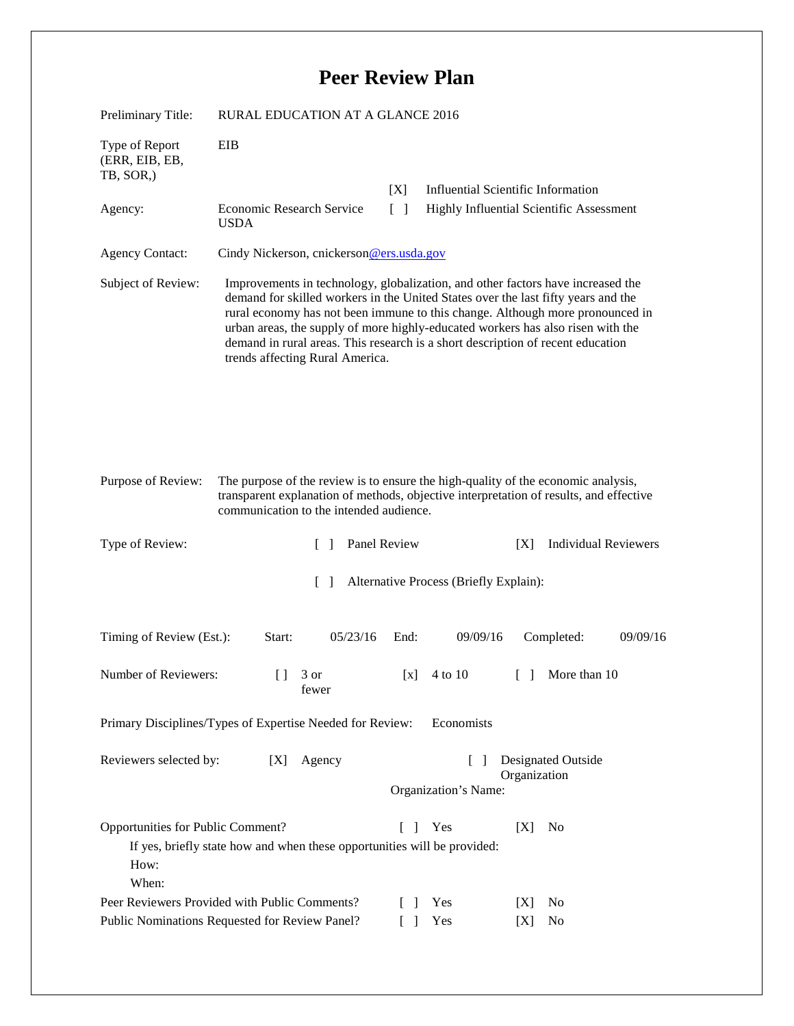## **Peer Review Plan**

| Preliminary Title:                                                                                                                                                       | <b>RURAL EDUCATION AT A GLANCE 2016</b>                                                                                                                                                                                                                                                                                                                                                                                                                        |                 |                                           |  |
|--------------------------------------------------------------------------------------------------------------------------------------------------------------------------|----------------------------------------------------------------------------------------------------------------------------------------------------------------------------------------------------------------------------------------------------------------------------------------------------------------------------------------------------------------------------------------------------------------------------------------------------------------|-----------------|-------------------------------------------|--|
| Type of Report<br>(ERR, EIB, EB,<br>TB, SOR,)                                                                                                                            | EIB                                                                                                                                                                                                                                                                                                                                                                                                                                                            |                 |                                           |  |
|                                                                                                                                                                          |                                                                                                                                                                                                                                                                                                                                                                                                                                                                | [X]             | <b>Influential Scientific Information</b> |  |
| Agency:                                                                                                                                                                  | <b>Economic Research Service</b><br><b>USDA</b>                                                                                                                                                                                                                                                                                                                                                                                                                | $\lceil \rceil$ | Highly Influential Scientific Assessment  |  |
| <b>Agency Contact:</b>                                                                                                                                                   | Cindy Nickerson, cnickerson@ers.usda.gov                                                                                                                                                                                                                                                                                                                                                                                                                       |                 |                                           |  |
| Subject of Review:                                                                                                                                                       | Improvements in technology, globalization, and other factors have increased the<br>demand for skilled workers in the United States over the last fifty years and the<br>rural economy has not been immune to this change. Although more pronounced in<br>urban areas, the supply of more highly-educated workers has also risen with the<br>demand in rural areas. This research is a short description of recent education<br>trends affecting Rural America. |                 |                                           |  |
| Purpose of Review:                                                                                                                                                       | The purpose of the review is to ensure the high-quality of the economic analysis,<br>transparent explanation of methods, objective interpretation of results, and effective<br>communication to the intended audience.                                                                                                                                                                                                                                         |                 |                                           |  |
| Type of Review:                                                                                                                                                          | $\Box$                                                                                                                                                                                                                                                                                                                                                                                                                                                         | Panel Review    | <b>Individual Reviewers</b><br>[X]        |  |
| Alternative Process (Briefly Explain):<br>$\lceil \rceil$                                                                                                                |                                                                                                                                                                                                                                                                                                                                                                                                                                                                |                 |                                           |  |
| Timing of Review (Est.):                                                                                                                                                 | 05/23/16<br>Start:                                                                                                                                                                                                                                                                                                                                                                                                                                             | End:            | 09/09/16<br>Completed:<br>09/09/16        |  |
| Number of Reviewers:                                                                                                                                                     | $\begin{bmatrix} 1 & 3 \end{bmatrix}$ or<br>fewer                                                                                                                                                                                                                                                                                                                                                                                                              |                 | [x] $4 \text{ to } 10$ [ ] More than 10   |  |
| Primary Disciplines/Types of Expertise Needed for Review:<br>Economists                                                                                                  |                                                                                                                                                                                                                                                                                                                                                                                                                                                                |                 |                                           |  |
| Reviewers selected by:<br>Designated Outside<br>[X]<br>Agency<br>$\Box$<br>Organization                                                                                  |                                                                                                                                                                                                                                                                                                                                                                                                                                                                |                 |                                           |  |
|                                                                                                                                                                          |                                                                                                                                                                                                                                                                                                                                                                                                                                                                |                 | Organization's Name:                      |  |
| Opportunities for Public Comment?<br>Yes<br>N <sub>0</sub><br>$\Box$<br>[X]<br>If yes, briefly state how and when these opportunities will be provided:<br>How:<br>When: |                                                                                                                                                                                                                                                                                                                                                                                                                                                                |                 |                                           |  |
| Peer Reviewers Provided with Public Comments?                                                                                                                            |                                                                                                                                                                                                                                                                                                                                                                                                                                                                |                 | Yes<br>No<br>[X]<br>$\mathbf{I}$          |  |
| Public Nominations Requested for Review Panel?<br>Yes<br>$\lceil \; \rceil$<br>No<br>[X]                                                                                 |                                                                                                                                                                                                                                                                                                                                                                                                                                                                |                 |                                           |  |